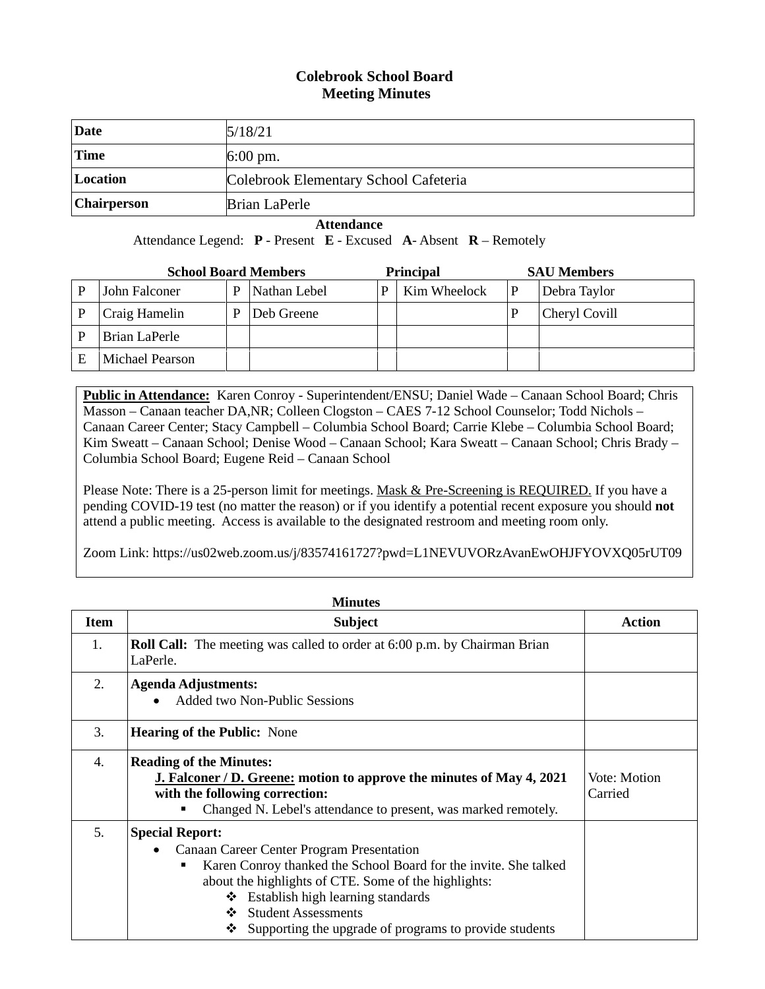## **Colebrook School Board Meeting Minutes**

| <b>Date</b>        | 5/18/21                               |
|--------------------|---------------------------------------|
| <b>Time</b>        | $6:00 \text{ pm}$ .                   |
| Location           | Colebrook Elementary School Cafeteria |
| <b>Chairperson</b> | Brian LaPerle                         |

 **Attendance**

Attendance Legend: **P** - Present **E** - Excused **A**- Absent **R** – Remotely

| <b>School Board Members</b> |                 |   | <b>Principal</b> |   | <b>SAU Members</b> |               |
|-----------------------------|-----------------|---|------------------|---|--------------------|---------------|
|                             | John Falconer   | D | Nathan Lebel     | P | Kim Wheelock       | Debra Taylor  |
|                             | Craig Hamelin   | D | Deb Greene       |   |                    | Cheryl Covill |
|                             | Brian LaPerle   |   |                  |   |                    |               |
|                             | Michael Pearson |   |                  |   |                    |               |

**Public in Attendance:** Karen Conroy - Superintendent/ENSU; Daniel Wade – Canaan School Board; Chris Masson – Canaan teacher DA,NR; Colleen Clogston – CAES 7-12 School Counselor; Todd Nichols – Canaan Career Center; Stacy Campbell – Columbia School Board; Carrie Klebe – Columbia School Board; Kim Sweatt – Canaan School; Denise Wood – Canaan School; Kara Sweatt – Canaan School; Chris Brady – Columbia School Board; Eugene Reid – Canaan School

Please Note: There is a 25-person limit for meetings. Mask & Pre-Screening is REQUIRED. If you have a pending COVID-19 test (no matter the reason) or if you identify a potential recent exposure you should **not** attend a public meeting. Access is available to the designated restroom and meeting room only.

Zoom Link: https://us02web.zoom.us/j/83574161727?pwd=L1NEVUVORzAvanEwOHJFYOVXQ05rUT09

| <b>Minutes</b> |                                                                                                                                                                                                                                                                                                                                                       |                         |  |  |
|----------------|-------------------------------------------------------------------------------------------------------------------------------------------------------------------------------------------------------------------------------------------------------------------------------------------------------------------------------------------------------|-------------------------|--|--|
| <b>Item</b>    | <b>Subject</b>                                                                                                                                                                                                                                                                                                                                        | <b>Action</b>           |  |  |
| 1.             | <b>Roll Call:</b> The meeting was called to order at 6:00 p.m. by Chairman Brian<br>LaPerle.                                                                                                                                                                                                                                                          |                         |  |  |
| 2.             | <b>Agenda Adjustments:</b><br>Added two Non-Public Sessions                                                                                                                                                                                                                                                                                           |                         |  |  |
| 3.             | <b>Hearing of the Public:</b> None                                                                                                                                                                                                                                                                                                                    |                         |  |  |
| 4.             | <b>Reading of the Minutes:</b><br><b>J. Falconer / D. Greene: motion to approve the minutes of May 4, 2021</b><br>with the following correction:<br>Changed N. Lebel's attendance to present, was marked remotely.                                                                                                                                    | Vote: Motion<br>Carried |  |  |
| 5 <sub>1</sub> | <b>Special Report:</b><br>Canaan Career Center Program Presentation<br>$\bullet$<br>Karen Conroy thanked the School Board for the invite. She talked<br>٠<br>about the highlights of CTE. Some of the highlights:<br>$\div$ Establish high learning standards<br>❖ Student Assessments<br>Supporting the upgrade of programs to provide students<br>❖ |                         |  |  |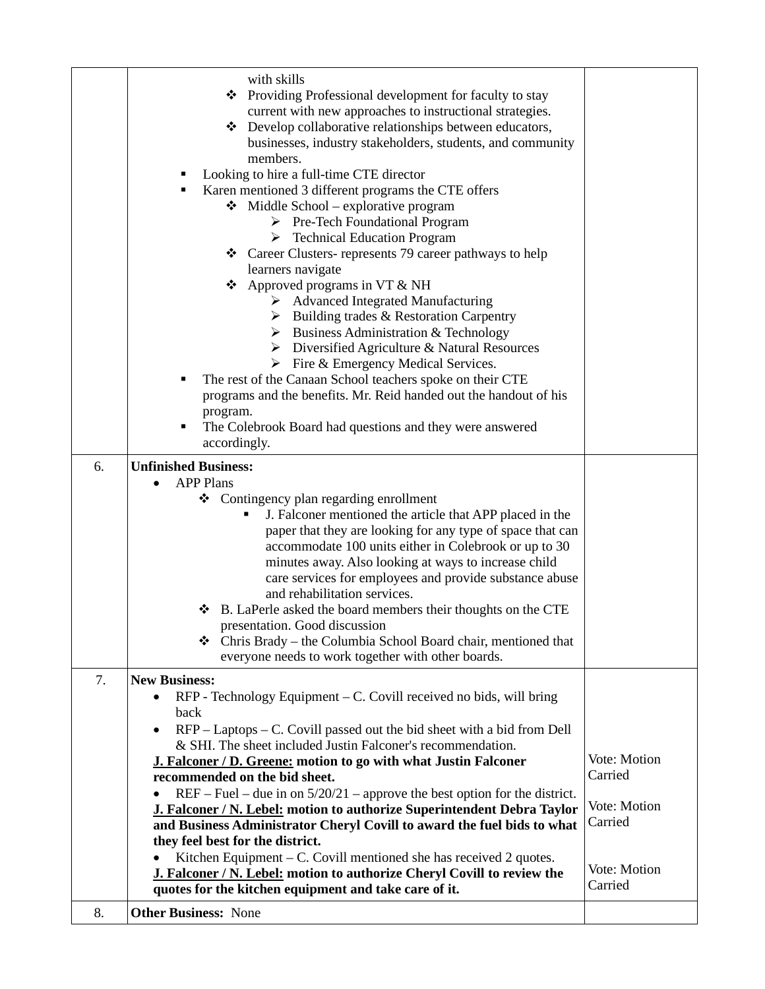|    | with skills                                                                                                         |                         |
|----|---------------------------------------------------------------------------------------------------------------------|-------------------------|
|    | ❖ Providing Professional development for faculty to stay                                                            |                         |
|    | current with new approaches to instructional strategies.                                                            |                         |
|    | Develop collaborative relationships between educators,                                                              |                         |
|    | businesses, industry stakeholders, students, and community                                                          |                         |
|    | members.                                                                                                            |                         |
|    | Looking to hire a full-time CTE director<br>٠                                                                       |                         |
|    | Karen mentioned 3 different programs the CTE offers<br>٠                                                            |                         |
|    | $\bullet$ Middle School – explorative program                                                                       |                         |
|    | ▶ Pre-Tech Foundational Program                                                                                     |                         |
|    | $\triangleright$ Technical Education Program                                                                        |                         |
|    | Career Clusters-represents 79 career pathways to help                                                               |                         |
|    | learners navigate                                                                                                   |                         |
|    | $\triangle$ Approved programs in VT & NH                                                                            |                         |
|    | > Advanced Integrated Manufacturing                                                                                 |                         |
|    | $\triangleright$ Building trades & Restoration Carpentry                                                            |                         |
|    | $\triangleright$ Business Administration & Technology                                                               |                         |
|    | $\triangleright$ Diversified Agriculture & Natural Resources                                                        |                         |
|    | $\triangleright$ Fire & Emergency Medical Services.                                                                 |                         |
|    | The rest of the Canaan School teachers spoke on their CTE                                                           |                         |
|    | programs and the benefits. Mr. Reid handed out the handout of his                                                   |                         |
|    | program.<br>The Colebrook Board had questions and they were answered<br>٠                                           |                         |
|    | accordingly.                                                                                                        |                         |
|    |                                                                                                                     |                         |
| 6. | <b>Unfinished Business:</b>                                                                                         |                         |
|    | <b>APP Plans</b>                                                                                                    |                         |
|    | ❖ Contingency plan regarding enrollment                                                                             |                         |
|    | J. Falconer mentioned the article that APP placed in the                                                            |                         |
|    | paper that they are looking for any type of space that can<br>accommodate 100 units either in Colebrook or up to 30 |                         |
|    | minutes away. Also looking at ways to increase child                                                                |                         |
|    | care services for employees and provide substance abuse                                                             |                         |
|    | and rehabilitation services.                                                                                        |                         |
|    | B. LaPerle asked the board members their thoughts on the CTE                                                        |                         |
|    | presentation. Good discussion                                                                                       |                         |
|    | $\triangleleft$ Chris Brady – the Columbia School Board chair, mentioned that                                       |                         |
|    | everyone needs to work together with other boards.                                                                  |                         |
| 7. | <b>New Business:</b>                                                                                                |                         |
|    | $RFP$ - Technology Equipment – C. Covill received no bids, will bring<br>$\bullet$                                  |                         |
|    | back                                                                                                                |                         |
|    | $RFP - Laptops - C$ . Covill passed out the bid sheet with a bid from Dell                                          |                         |
|    | & SHI. The sheet included Justin Falconer's recommendation.                                                         |                         |
|    | J. Falconer / D. Greene: motion to go with what Justin Falconer                                                     | Vote: Motion            |
|    | recommended on the bid sheet.                                                                                       | Carried                 |
|    | $REF$ – Fuel – due in on $5/20/21$ – approve the best option for the district.                                      |                         |
|    | J. Falconer / N. Lebel: motion to authorize Superintendent Debra Taylor                                             | Vote: Motion            |
|    | and Business Administrator Cheryl Covill to award the fuel bids to what                                             | Carried                 |
|    | they feel best for the district.                                                                                    |                         |
|    | Kitchen Equipment $-$ C. Covill mentioned she has received 2 quotes.                                                |                         |
|    | J. Falconer / N. Lebel: motion to authorize Cheryl Covill to review the                                             | Vote: Motion<br>Carried |
|    | quotes for the kitchen equipment and take care of it.                                                               |                         |
| 8. | <b>Other Business: None</b>                                                                                         |                         |